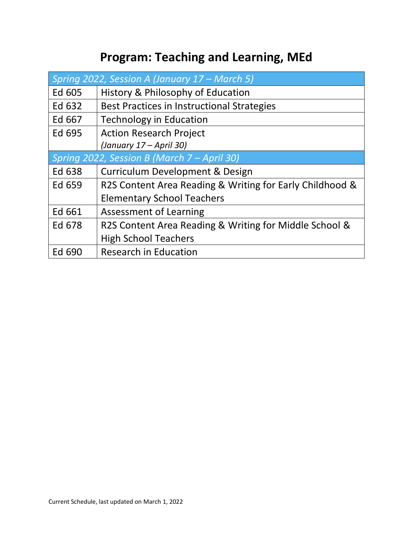## **Program: Teaching and Learning, MEd**

| Spring 2022, Session A (January 17 – March 5) |                                                          |
|-----------------------------------------------|----------------------------------------------------------|
| Ed 605                                        | History & Philosophy of Education                        |
| Ed 632                                        | Best Practices in Instructional Strategies               |
| Ed 667                                        | <b>Technology in Education</b>                           |
| Ed 695                                        | <b>Action Research Project</b>                           |
|                                               | (January 17 – April 30)                                  |
|                                               | Spring 2022, Session B (March 7 – April 30)              |
| Ed 638                                        | Curriculum Development & Design                          |
| Ed 659                                        | R2S Content Area Reading & Writing for Early Childhood & |
|                                               | <b>Elementary School Teachers</b>                        |
| Ed 661                                        | <b>Assessment of Learning</b>                            |
| Ed 678                                        | R2S Content Area Reading & Writing for Middle School &   |
|                                               | <b>High School Teachers</b>                              |
| Ed 690                                        | <b>Research in Education</b>                             |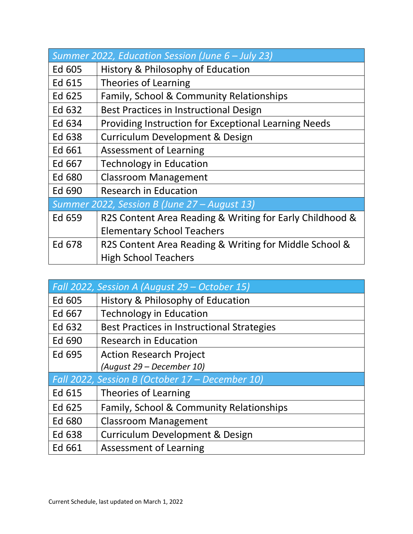| Summer 2022, Education Session (June 6 - July 23) |                                                          |  |
|---------------------------------------------------|----------------------------------------------------------|--|
| Ed 605                                            | History & Philosophy of Education                        |  |
| Ed 615                                            | Theories of Learning                                     |  |
| Ed 625                                            | Family, School & Community Relationships                 |  |
| Ed 632                                            | Best Practices in Instructional Design                   |  |
| Ed 634                                            | Providing Instruction for Exceptional Learning Needs     |  |
| Ed 638                                            | Curriculum Development & Design                          |  |
| Ed 661                                            | <b>Assessment of Learning</b>                            |  |
| Ed 667                                            | <b>Technology in Education</b>                           |  |
| Ed 680                                            | <b>Classroom Management</b>                              |  |
| Ed 690                                            | <b>Research in Education</b>                             |  |
| Summer 2022, Session B (June 27 – August 13)      |                                                          |  |
| Ed 659                                            | R2S Content Area Reading & Writing for Early Childhood & |  |
|                                                   | <b>Elementary School Teachers</b>                        |  |
| Ed 678                                            | R2S Content Area Reading & Writing for Middle School &   |  |
|                                                   | <b>High School Teachers</b>                              |  |

| Fall 2022, Session A (August 29 - October 15) |                                                 |
|-----------------------------------------------|-------------------------------------------------|
| Ed 605                                        | History & Philosophy of Education               |
| Ed 667                                        | <b>Technology in Education</b>                  |
| Ed 632                                        | Best Practices in Instructional Strategies      |
| Ed 690                                        | <b>Research in Education</b>                    |
| Ed 695                                        | <b>Action Research Project</b>                  |
|                                               | (August 29 – December 10)                       |
|                                               | Fall 2022, Session B (October 17 - December 10) |
| Ed 615                                        | <b>Theories of Learning</b>                     |
| Ed 625                                        | Family, School & Community Relationships        |
| Ed 680                                        | <b>Classroom Management</b>                     |
| Ed 638                                        | Curriculum Development & Design                 |
| Ed 661                                        | <b>Assessment of Learning</b>                   |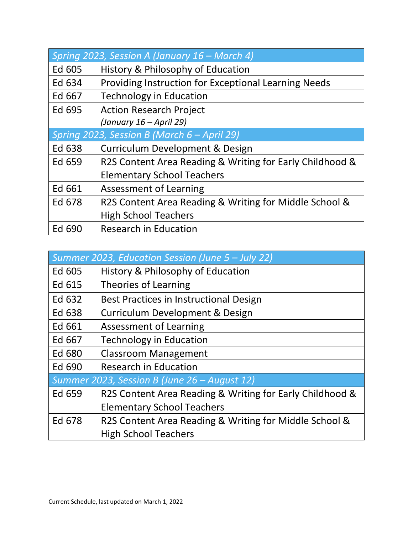| Spring 2023, Session A (January $16$ – March 4) |                                                          |  |
|-------------------------------------------------|----------------------------------------------------------|--|
| Ed 605                                          | History & Philosophy of Education                        |  |
| Ed 634                                          | Providing Instruction for Exceptional Learning Needs     |  |
| Ed 667                                          | <b>Technology in Education</b>                           |  |
| Ed 695                                          | <b>Action Research Project</b>                           |  |
|                                                 | (January 16 - April 29)                                  |  |
| Spring 2023, Session B (March 6 - April 29)     |                                                          |  |
| Ed 638                                          | Curriculum Development & Design                          |  |
| Ed 659                                          | R2S Content Area Reading & Writing for Early Childhood & |  |
|                                                 | <b>Elementary School Teachers</b>                        |  |
| Ed 661                                          | <b>Assessment of Learning</b>                            |  |
| Ed 678                                          | R2S Content Area Reading & Writing for Middle School &   |  |
|                                                 | <b>High School Teachers</b>                              |  |
| Ed 690                                          | <b>Research in Education</b>                             |  |

| Summer 2023, Education Session (June 5 - July 22) |                                                          |  |
|---------------------------------------------------|----------------------------------------------------------|--|
| Ed 605                                            | History & Philosophy of Education                        |  |
| Ed 615                                            | Theories of Learning                                     |  |
| Ed 632                                            | Best Practices in Instructional Design                   |  |
| Ed 638                                            | Curriculum Development & Design                          |  |
| Ed 661                                            | Assessment of Learning                                   |  |
| Ed 667                                            | <b>Technology in Education</b>                           |  |
| Ed 680                                            | <b>Classroom Management</b>                              |  |
| Ed 690                                            | <b>Research in Education</b>                             |  |
| Summer 2023, Session B (June 26 – August 12)      |                                                          |  |
| Ed 659                                            | R2S Content Area Reading & Writing for Early Childhood & |  |
|                                                   | <b>Elementary School Teachers</b>                        |  |
| Ed 678                                            | R2S Content Area Reading & Writing for Middle School &   |  |
|                                                   | <b>High School Teachers</b>                              |  |